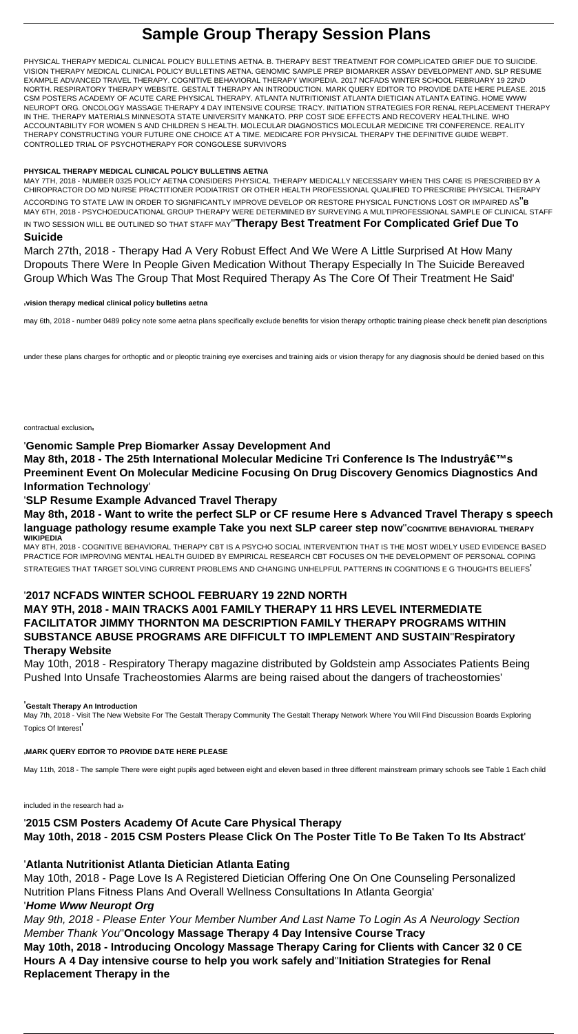# **Sample Group Therapy Session Plans**

PHYSICAL THERAPY MEDICAL CLINICAL POLICY BULLETINS AETNA. B. THERAPY BEST TREATMENT FOR COMPLICATED GRIEF DUE TO SUICIDE. VISION THERAPY MEDICAL CLINICAL POLICY BULLETINS AETNA. GENOMIC SAMPLE PREP BIOMARKER ASSAY DEVELOPMENT AND. SLP RESUME EXAMPLE ADVANCED TRAVEL THERAPY. COGNITIVE BEHAVIORAL THERAPY WIKIPEDIA. 2017 NCFADS WINTER SCHOOL FEBRUARY 19 22ND NORTH. RESPIRATORY THERAPY WEBSITE. GESTALT THERAPY AN INTRODUCTION. MARK QUERY EDITOR TO PROVIDE DATE HERE PLEASE. 2015 CSM POSTERS ACADEMY OF ACUTE CARE PHYSICAL THERAPY. ATLANTA NUTRITIONIST ATLANTA DIETICIAN ATLANTA EATING. HOME WWW NEUROPT ORG. ONCOLOGY MASSAGE THERAPY 4 DAY INTENSIVE COURSE TRACY. INITIATION STRATEGIES FOR RENAL REPLACEMENT THERAPY IN THE. THERAPY MATERIALS MINNESOTA STATE UNIVERSITY MANKATO. PRP COST SIDE EFFECTS AND RECOVERY HEALTHLINE. WHO ACCOUNTABILITY FOR WOMEN S AND CHILDREN S HEALTH. MOLECULAR DIAGNOSTICS MOLECULAR MEDICINE TRI CONFERENCE. REALITY THERAPY CONSTRUCTING YOUR FUTURE ONE CHOICE AT A TIME. MEDICARE FOR PHYSICAL THERAPY THE DEFINITIVE GUIDE WEBPT. CONTROLLED TRIAL OF PSYCHOTHERAPY FOR CONGOLESE SURVIVORS

#### **PHYSICAL THERAPY MEDICAL CLINICAL POLICY BULLETINS AETNA**

May 8th, 2018 - The 25th International Molecular Medicine Tri Conference Is The Industryâ€<sup>™</sup>s **Preeminent Event On Molecular Medicine Focusing On Drug Discovery Genomics Diagnostics And Information Technology**'

MAY 7TH, 2018 - NUMBER 0325 POLICY AETNA CONSIDERS PHYSICAL THERAPY MEDICALLY NECESSARY WHEN THIS CARE IS PRESCRIBED BY A CHIROPRACTOR DO MD NURSE PRACTITIONER PODIATRIST OR OTHER HEALTH PROFESSIONAL QUALIFIED TO PRESCRIBE PHYSICAL THERAPY ACCORDING TO STATE LAW IN ORDER TO SIGNIFICANTLY IMPROVE DEVELOP OR RESTORE PHYSICAL FUNCTIONS LOST OR IMPAIRED AS''**B** MAY 6TH, 2018 - PSYCHOEDUCATIONAL GROUP THERAPY WERE DETERMINED BY SURVEYING A MULTIPROFESSIONAL SAMPLE OF CLINICAL STAFF IN TWO SESSION WILL BE OUTLINED SO THAT STAFF MAY''**Therapy Best Treatment For Complicated Grief Due To**

#### **Suicide**

March 27th, 2018 - Therapy Had A Very Robust Effect And We Were A Little Surprised At How Many Dropouts There Were In People Given Medication Without Therapy Especially In The Suicide Bereaved Group Which Was The Group That Most Required Therapy As The Core Of Their Treatment He Said'

#### '**vision therapy medical clinical policy bulletins aetna**

may 6th, 2018 - number 0489 policy note some aetna plans specifically exclude benefits for vision therapy orthoptic training please check benefit plan descriptions

under these plans charges for orthoptic and or pleoptic training eye exercises and training aids or vision therapy for any diagnosis should be denied based on this

#### contractual exclusion'

### '**Genomic Sample Prep Biomarker Assay Development And**

### '**SLP Resume Example Advanced Travel Therapy**

**May 8th, 2018 - Want to write the perfect SLP or CF resume Here s Advanced Travel Therapy s speech language pathology resume example Take you next SLP career step now**"COGNITIVE BEHAVIORAL THERAPY **WIKIPEDIA**

MAY 8TH, 2018 - COGNITIVE BEHAVIORAL THERAPY CBT IS A PSYCHO SOCIAL INTERVENTION THAT IS THE MOST WIDELY USED EVIDENCE BASED PRACTICE FOR IMPROVING MENTAL HEALTH GUIDED BY EMPIRICAL RESEARCH CBT FOCUSES ON THE DEVELOPMENT OF PERSONAL COPING STRATEGIES THAT TARGET SOLVING CURRENT PROBLEMS AND CHANGING UNHELPFUL PATTERNS IN COGNITIONS E G THOUGHTS BELIEFS'

### '**2017 NCFADS WINTER SCHOOL FEBRUARY 19 22ND NORTH**

# **MAY 9TH, 2018 - MAIN TRACKS A001 FAMILY THERAPY 11 HRS LEVEL INTERMEDIATE FACILITATOR JIMMY THORNTON MA DESCRIPTION FAMILY THERAPY PROGRAMS WITHIN SUBSTANCE ABUSE PROGRAMS ARE DIFFICULT TO IMPLEMENT AND SUSTAIN**''**Respiratory Therapy Website**

May 10th, 2018 - Respiratory Therapy magazine distributed by Goldstein amp Associates Patients Being Pushed Into Unsafe Tracheostomies Alarms are being raised about the dangers of tracheostomies'

#### '**Gestalt Therapy An Introduction**

May 7th, 2018 - Visit The New Website For The Gestalt Therapy Community The Gestalt Therapy Network Where You Will Find Discussion Boards Exploring Topics Of Interest'

#### '**MARK QUERY EDITOR TO PROVIDE DATE HERE PLEASE**

May 11th, 2018 - The sample There were eight pupils aged between eight and eleven based in three different mainstream primary schools see Table 1 Each child

included in the research had a

# '**2015 CSM Posters Academy Of Acute Care Physical Therapy May 10th, 2018 - 2015 CSM Posters Please Click On The Poster Title To Be Taken To Its Abstract**'

### '**Atlanta Nutritionist Atlanta Dietician Atlanta Eating**

May 10th, 2018 - Page Love Is A Registered Dietician Offering One On One Counseling Personalized Nutrition Plans Fitness Plans And Overall Wellness Consultations In Atlanta Georgia'

### '**Home Www Neuropt Org**

May 9th, 2018 - Please Enter Your Member Number And Last Name To Login As A Neurology Section Member Thank You''**Oncology Massage Therapy 4 Day Intensive Course Tracy May 10th, 2018 - Introducing Oncology Massage Therapy Caring for Clients with Cancer 32 0 CE Hours A 4 Day intensive course to help you work safely and**''**Initiation Strategies for Renal Replacement Therapy in the**